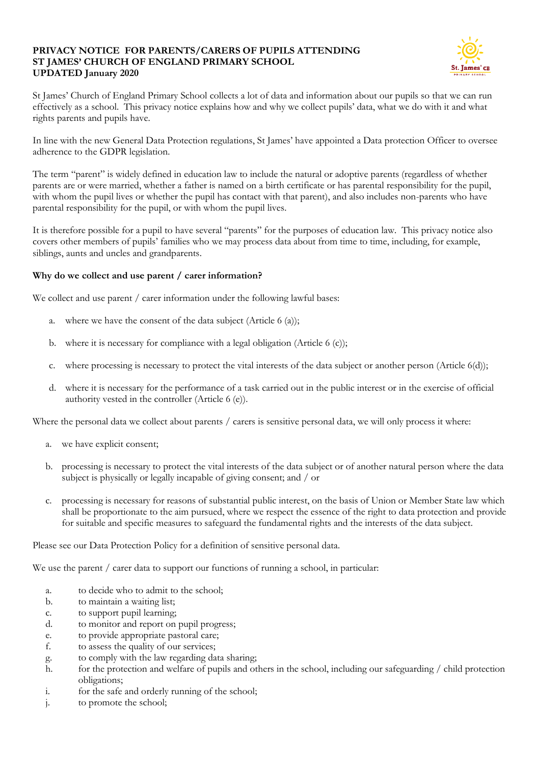#### **PRIVACY NOTICE FOR PARENTS/CARERS OF PUPILS ATTENDING ST JAMES' CHURCH OF ENGLAND PRIMARY SCHOOL UPDATED January 2020**



St James' Church of England Primary School collects a lot of data and information about our pupils so that we can run effectively as a school. This privacy notice explains how and why we collect pupils' data, what we do with it and what rights parents and pupils have.

In line with the new General Data Protection regulations, St James' have appointed a Data protection Officer to oversee adherence to the GDPR legislation.

The term "parent" is widely defined in education law to include the natural or adoptive parents (regardless of whether parents are or were married, whether a father is named on a birth certificate or has parental responsibility for the pupil, with whom the pupil lives or whether the pupil has contact with that parent), and also includes non-parents who have parental responsibility for the pupil, or with whom the pupil lives.

It is therefore possible for a pupil to have several "parents" for the purposes of education law. This privacy notice also covers other members of pupils' families who we may process data about from time to time, including, for example, siblings, aunts and uncles and grandparents.

### **Why do we collect and use parent / carer information?**

We collect and use parent / carer information under the following lawful bases:

- a. where we have the consent of the data subject (Article 6 (a));
- b. where it is necessary for compliance with a legal obligation (Article 6 (c));
- c. where processing is necessary to protect the vital interests of the data subject or another person (Article 6(d));
- d. where it is necessary for the performance of a task carried out in the public interest or in the exercise of official authority vested in the controller (Article 6 (e)).

Where the personal data we collect about parents / carers is sensitive personal data, we will only process it where:

- a. we have explicit consent;
- b. processing is necessary to protect the vital interests of the data subject or of another natural person where the data subject is physically or legally incapable of giving consent; and / or
- c. processing is necessary for reasons of substantial public interest, on the basis of Union or Member State law which shall be proportionate to the aim pursued, where we respect the essence of the right to data protection and provide for suitable and specific measures to safeguard the fundamental rights and the interests of the data subject.

Please see our Data Protection Policy for a definition of sensitive personal data.

We use the parent / carer data to support our functions of running a school, in particular:

- a. to decide who to admit to the school;
- b. to maintain a waiting list;
- c. to support pupil learning;
- d. to monitor and report on pupil progress;
- e. to provide appropriate pastoral care;
- f. to assess the quality of our services;
- g. to comply with the law regarding data sharing;
- h. for the protection and welfare of pupils and others in the school, including our safeguarding / child protection obligations;
- i. for the safe and orderly running of the school;
- j. to promote the school;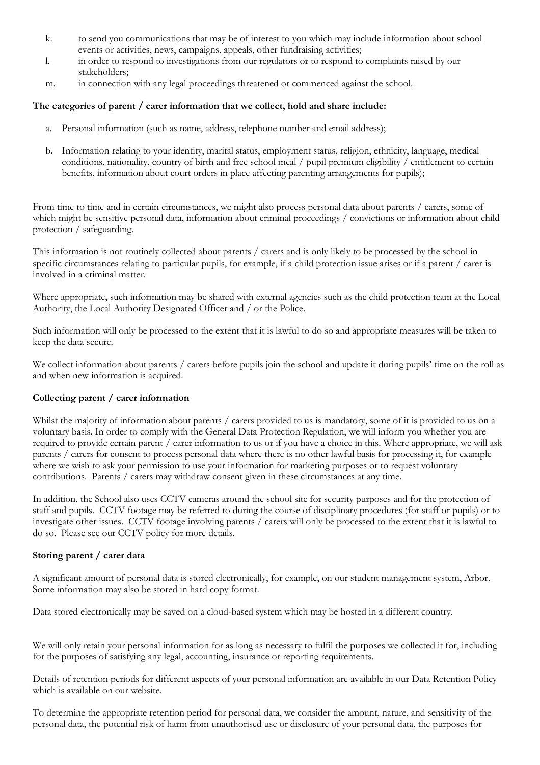- k. to send you communications that may be of interest to you which may include information about school events or activities, news, campaigns, appeals, other fundraising activities;
- l. in order to respond to investigations from our regulators or to respond to complaints raised by our stakeholders;
- m. in connection with any legal proceedings threatened or commenced against the school.

## **The categories of parent / carer information that we collect, hold and share include:**

- a. Personal information (such as name, address, telephone number and email address);
- b. Information relating to your identity, marital status, employment status, religion, ethnicity, language, medical conditions, nationality, country of birth and free school meal / pupil premium eligibility / entitlement to certain benefits, information about court orders in place affecting parenting arrangements for pupils);

From time to time and in certain circumstances, we might also process personal data about parents / carers, some of which might be sensitive personal data, information about criminal proceedings / convictions or information about child protection / safeguarding.

This information is not routinely collected about parents / carers and is only likely to be processed by the school in specific circumstances relating to particular pupils, for example, if a child protection issue arises or if a parent / carer is involved in a criminal matter.

Where appropriate, such information may be shared with external agencies such as the child protection team at the Local Authority, the Local Authority Designated Officer and / or the Police.

Such information will only be processed to the extent that it is lawful to do so and appropriate measures will be taken to keep the data secure.

We collect information about parents / carers before pupils join the school and update it during pupils' time on the roll as and when new information is acquired.

#### **Collecting parent / carer information**

Whilst the majority of information about parents / carers provided to us is mandatory, some of it is provided to us on a voluntary basis. In order to comply with the General Data Protection Regulation, we will inform you whether you are required to provide certain parent / carer information to us or if you have a choice in this. Where appropriate, we will ask parents / carers for consent to process personal data where there is no other lawful basis for processing it, for example where we wish to ask your permission to use your information for marketing purposes or to request voluntary contributions. Parents / carers may withdraw consent given in these circumstances at any time.

In addition, the School also uses CCTV cameras around the school site for security purposes and for the protection of staff and pupils. CCTV footage may be referred to during the course of disciplinary procedures (for staff or pupils) or to investigate other issues. CCTV footage involving parents / carers will only be processed to the extent that it is lawful to do so. Please see our CCTV policy for more details.

#### **Storing parent / carer data**

A significant amount of personal data is stored electronically, for example, on our student management system, Arbor. Some information may also be stored in hard copy format.

Data stored electronically may be saved on a cloud-based system which may be hosted in a different country.

We will only retain your personal information for as long as necessary to fulfil the purposes we collected it for, including for the purposes of satisfying any legal, accounting, insurance or reporting requirements.

Details of retention periods for different aspects of your personal information are available in our Data Retention Policy which is available on our website.

To determine the appropriate retention period for personal data, we consider the amount, nature, and sensitivity of the personal data, the potential risk of harm from unauthorised use or disclosure of your personal data, the purposes for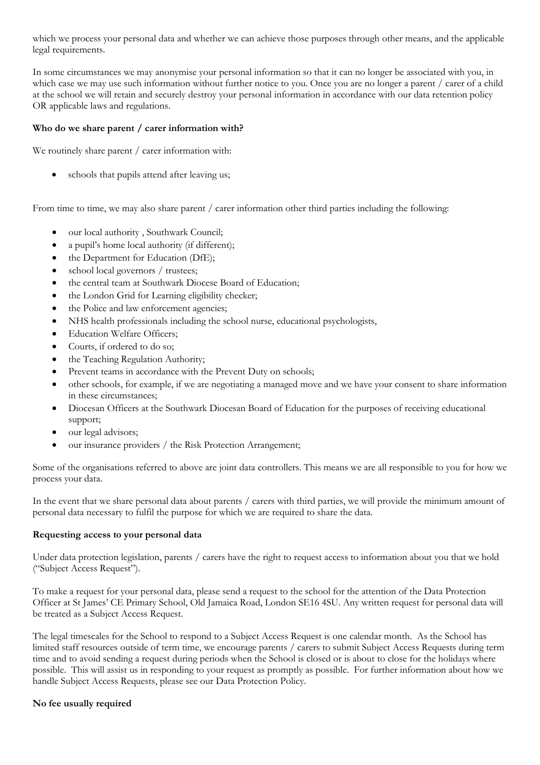which we process your personal data and whether we can achieve those purposes through other means, and the applicable legal requirements.

In some circumstances we may anonymise your personal information so that it can no longer be associated with you, in which case we may use such information without further notice to you. Once you are no longer a parent / carer of a child at the school we will retain and securely destroy your personal information in accordance with our data retention policy OR applicable laws and regulations.

### **Who do we share parent / carer information with?**

We routinely share parent / carer information with:

schools that pupils attend after leaving us;

From time to time, we may also share parent / carer information other third parties including the following:

- our local authority , Southwark Council;
- a pupil's home local authority (if different);
- the Department for Education (DfE);
- school local governors / trustees;
- the central team at Southwark Diocese Board of Education;
- the London Grid for Learning eligibility checker;
- the Police and law enforcement agencies;
- NHS health professionals including the school nurse, educational psychologists,
- Education Welfare Officers;
- Courts, if ordered to do so;
- the Teaching Regulation Authority;
- Prevent teams in accordance with the Prevent Duty on schools;
- other schools, for example, if we are negotiating a managed move and we have your consent to share information in these circumstances;
- Diocesan Officers at the Southwark Diocesan Board of Education for the purposes of receiving educational support;
- our legal advisors;
- our insurance providers / the Risk Protection Arrangement;

Some of the organisations referred to above are joint data controllers. This means we are all responsible to you for how we process your data.

In the event that we share personal data about parents / carers with third parties, we will provide the minimum amount of personal data necessary to fulfil the purpose for which we are required to share the data.

#### **Requesting access to your personal data**

Under data protection legislation, parents / carers have the right to request access to information about you that we hold ("Subject Access Request").

To make a request for your personal data, please send a request to the school for the attention of the Data Protection Officer at St James' CE Primary School, Old Jamaica Road, London SE16 4SU. Any written request for personal data will be treated as a Subject Access Request.

The legal timescales for the School to respond to a Subject Access Request is one calendar month. As the School has limited staff resources outside of term time, we encourage parents / carers to submit Subject Access Requests during term time and to avoid sending a request during periods when the School is closed or is about to close for the holidays where possible. This will assist us in responding to your request as promptly as possible. For further information about how we handle Subject Access Requests, please see our Data Protection Policy.

#### **No fee usually required**